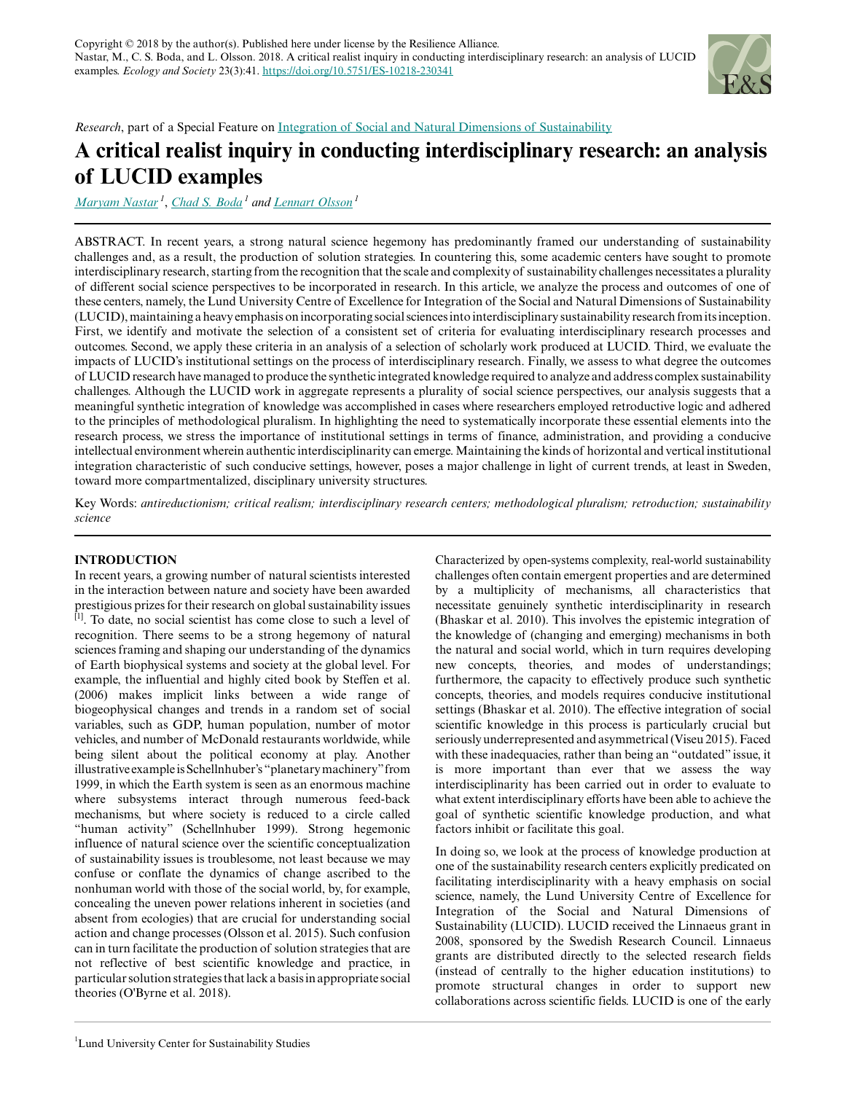

*Research*, part of a Special Feature on [Integration of Social and Natural Dimensions of Sustainability](https://www.ecologyandsociety.org/viewissue.php?sf=135)

# **A critical realist inquiry in conducting interdisciplinary research: an analysis of LUCID examples**

*[Maryam Nastar](mailto:maryam.nastar@lucsus.lu.se)<sup>1</sup>* , *[Chad S. Boda](mailto:chad.boda@lucsus.lu.se)<sup>1</sup> and [Lennart Olsson](mailto:lennart.olsson@lucsus.lu.se)<sup>1</sup>*

ABSTRACT. In recent years, a strong natural science hegemony has predominantly framed our understanding of sustainability challenges and, as a result, the production of solution strategies. In countering this, some academic centers have sought to promote interdisciplinary research, starting from the recognition that the scale and complexity of sustainability challenges necessitates a plurality of different social science perspectives to be incorporated in research. In this article, we analyze the process and outcomes of one of these centers, namely, the Lund University Centre of Excellence for Integration of the Social and Natural Dimensions of Sustainability (LUCID), maintaining a heavy emphasis on incorporating social sciences into interdisciplinary sustainability research from its inception. First, we identify and motivate the selection of a consistent set of criteria for evaluating interdisciplinary research processes and outcomes. Second, we apply these criteria in an analysis of a selection of scholarly work produced at LUCID. Third, we evaluate the impacts of LUCID's institutional settings on the process of interdisciplinary research. Finally, we assess to what degree the outcomes of LUCID research have managed to produce the synthetic integrated knowledge required to analyze and address complex sustainability challenges. Although the LUCID work in aggregate represents a plurality of social science perspectives, our analysis suggests that a meaningful synthetic integration of knowledge was accomplished in cases where researchers employed retroductive logic and adhered to the principles of methodological pluralism. In highlighting the need to systematically incorporate these essential elements into the research process, we stress the importance of institutional settings in terms of finance, administration, and providing a conducive intellectual environment wherein authentic interdisciplinarity can emerge. Maintaining the kinds of horizontal and vertical institutional integration characteristic of such conducive settings, however, poses a major challenge in light of current trends, at least in Sweden, toward more compartmentalized, disciplinary university structures.

Key Words: *antireductionism; critical realism; interdisciplinary research centers; methodological pluralism; retroduction; sustainability science*

# **INTRODUCTION**

In recent years, a growing number of natural scientists interested in the interaction between nature and society have been awarded prestigious prizes for their research on global sustainability issues  $\begin{bmatrix} 1 \end{bmatrix}$ . To date, no social scientist has come close to such a level of recognition. There seems to be a strong hegemony of natural sciences framing and shaping our understanding of the dynamics of Earth biophysical systems and society at the global level. For example, the influential and highly cited book by Steffen et al. (2006) makes implicit links between a wide range of biogeophysical changes and trends in a random set of social variables, such as GDP, human population, number of motor vehicles, and number of McDonald restaurants worldwide, while being silent about the political economy at play. Another illustrative example is Schellnhuber's "planetary machinery" from 1999, in which the Earth system is seen as an enormous machine where subsystems interact through numerous feed-back mechanisms, but where society is reduced to a circle called "human activity" (Schellnhuber 1999). Strong hegemonic influence of natural science over the scientific conceptualization of sustainability issues is troublesome, not least because we may confuse or conflate the dynamics of change ascribed to the nonhuman world with those of the social world, by, for example, concealing the uneven power relations inherent in societies (and absent from ecologies) that are crucial for understanding social action and change processes (Olsson et al. 2015). Such confusion can in turn facilitate the production of solution strategies that are not reflective of best scientific knowledge and practice, in particular solution strategies that lack a basis in appropriate social theories (O'Byrne et al. 2018).

Characterized by open-systems complexity, real-world sustainability challenges often contain emergent properties and are determined by a multiplicity of mechanisms, all characteristics that necessitate genuinely synthetic interdisciplinarity in research (Bhaskar et al. 2010). This involves the epistemic integration of the knowledge of (changing and emerging) mechanisms in both the natural and social world, which in turn requires developing new concepts, theories, and modes of understandings; furthermore, the capacity to effectively produce such synthetic concepts, theories, and models requires conducive institutional settings (Bhaskar et al. 2010). The effective integration of social scientific knowledge in this process is particularly crucial but seriously underrepresented and asymmetrical (Viseu 2015). Faced with these inadequacies, rather than being an "outdated" issue, it is more important than ever that we assess the way interdisciplinarity has been carried out in order to evaluate to what extent interdisciplinary efforts have been able to achieve the goal of synthetic scientific knowledge production, and what factors inhibit or facilitate this goal.

In doing so, we look at the process of knowledge production at one of the sustainability research centers explicitly predicated on facilitating interdisciplinarity with a heavy emphasis on social science, namely, the Lund University Centre of Excellence for Integration of the Social and Natural Dimensions of Sustainability (LUCID). LUCID received the Linnaeus grant in 2008, sponsored by the Swedish Research Council. Linnaeus grants are distributed directly to the selected research fields (instead of centrally to the higher education institutions) to promote structural changes in order to support new collaborations across scientific fields. LUCID is one of the early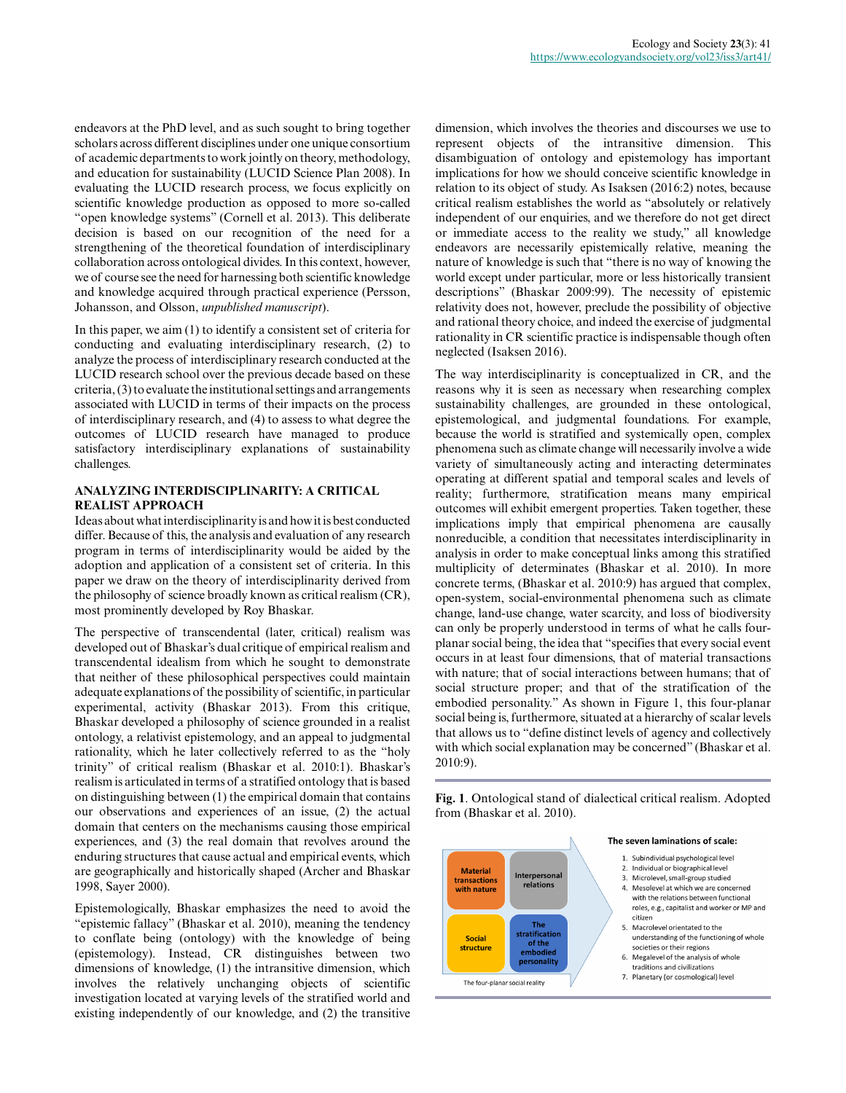endeavors at the PhD level, and as such sought to bring together scholars across different disciplines under one unique consortium of academic departments to work jointly on theory, methodology, and education for sustainability (LUCID Science Plan 2008). In evaluating the LUCID research process, we focus explicitly on scientific knowledge production as opposed to more so-called "open knowledge systems" (Cornell et al. 2013). This deliberate decision is based on our recognition of the need for a strengthening of the theoretical foundation of interdisciplinary collaboration across ontological divides. In this context, however, we of course see the need for harnessing both scientific knowledge and knowledge acquired through practical experience (Persson, Johansson, and Olsson, *unpublished manuscript*).

In this paper, we aim (1) to identify a consistent set of criteria for conducting and evaluating interdisciplinary research, (2) to analyze the process of interdisciplinary research conducted at the LUCID research school over the previous decade based on these criteria, (3) to evaluate the institutional settings and arrangements associated with LUCID in terms of their impacts on the process of interdisciplinary research, and (4) to assess to what degree the outcomes of LUCID research have managed to produce satisfactory interdisciplinary explanations of sustainability challenges.

# **ANALYZING INTERDISCIPLINARITY: A CRITICAL REALIST APPROACH**

Ideas about what interdisciplinarity is and how it is best conducted differ. Because of this, the analysis and evaluation of any research program in terms of interdisciplinarity would be aided by the adoption and application of a consistent set of criteria. In this paper we draw on the theory of interdisciplinarity derived from the philosophy of science broadly known as critical realism (CR), most prominently developed by Roy Bhaskar.

The perspective of transcendental (later, critical) realism was developed out of Bhaskar's dual critique of empirical realism and transcendental idealism from which he sought to demonstrate that neither of these philosophical perspectives could maintain adequate explanations of the possibility of scientific, in particular experimental, activity (Bhaskar 2013). From this critique, Bhaskar developed a philosophy of science grounded in a realist ontology, a relativist epistemology, and an appeal to judgmental rationality, which he later collectively referred to as the "holy trinity" of critical realism (Bhaskar et al. 2010:1). Bhaskar's realism is articulated in terms of a stratified ontology that is based on distinguishing between (1) the empirical domain that contains our observations and experiences of an issue, (2) the actual domain that centers on the mechanisms causing those empirical experiences, and (3) the real domain that revolves around the enduring structures that cause actual and empirical events, which are geographically and historically shaped (Archer and Bhaskar 1998, Sayer 2000).

Epistemologically, Bhaskar emphasizes the need to avoid the "epistemic fallacy" (Bhaskar et al. 2010), meaning the tendency to conflate being (ontology) with the knowledge of being (epistemology). Instead, CR distinguishes between two dimensions of knowledge, (1) the intransitive dimension, which involves the relatively unchanging objects of scientific investigation located at varying levels of the stratified world and existing independently of our knowledge, and (2) the transitive

dimension, which involves the theories and discourses we use to represent objects of the intransitive dimension. This disambiguation of ontology and epistemology has important implications for how we should conceive scientific knowledge in relation to its object of study. As Isaksen (2016:2) notes, because critical realism establishes the world as "absolutely or relatively independent of our enquiries, and we therefore do not get direct or immediate access to the reality we study," all knowledge endeavors are necessarily epistemically relative, meaning the nature of knowledge is such that "there is no way of knowing the world except under particular, more or less historically transient descriptions" (Bhaskar 2009:99). The necessity of epistemic relativity does not, however, preclude the possibility of objective and rational theory choice, and indeed the exercise of judgmental rationality in CR scientific practice is indispensable though often neglected (Isaksen 2016).

The way interdisciplinarity is conceptualized in CR, and the reasons why it is seen as necessary when researching complex sustainability challenges, are grounded in these ontological, epistemological, and judgmental foundations. For example, because the world is stratified and systemically open, complex phenomena such as climate change will necessarily involve a wide variety of simultaneously acting and interacting determinates operating at different spatial and temporal scales and levels of reality; furthermore, stratification means many empirical outcomes will exhibit emergent properties. Taken together, these implications imply that empirical phenomena are causally nonreducible, a condition that necessitates interdisciplinarity in analysis in order to make conceptual links among this stratified multiplicity of determinates (Bhaskar et al. 2010). In more concrete terms, (Bhaskar et al. 2010:9) has argued that complex, open-system, social-environmental phenomena such as climate change, land-use change, water scarcity, and loss of biodiversity can only be properly understood in terms of what he calls fourplanar social being, the idea that "specifies that every social event occurs in at least four dimensions, that of material transactions with nature; that of social interactions between humans; that of social structure proper; and that of the stratification of the embodied personality." As shown in Figure 1, this four-planar social being is, furthermore, situated at a hierarchy of scalar levels that allows us to "define distinct levels of agency and collectively with which social explanation may be concerned" (Bhaskar et al. 2010:9).

**Fig. 1**. Ontological stand of dialectical critical realism. Adopted from (Bhaskar et al. 2010).

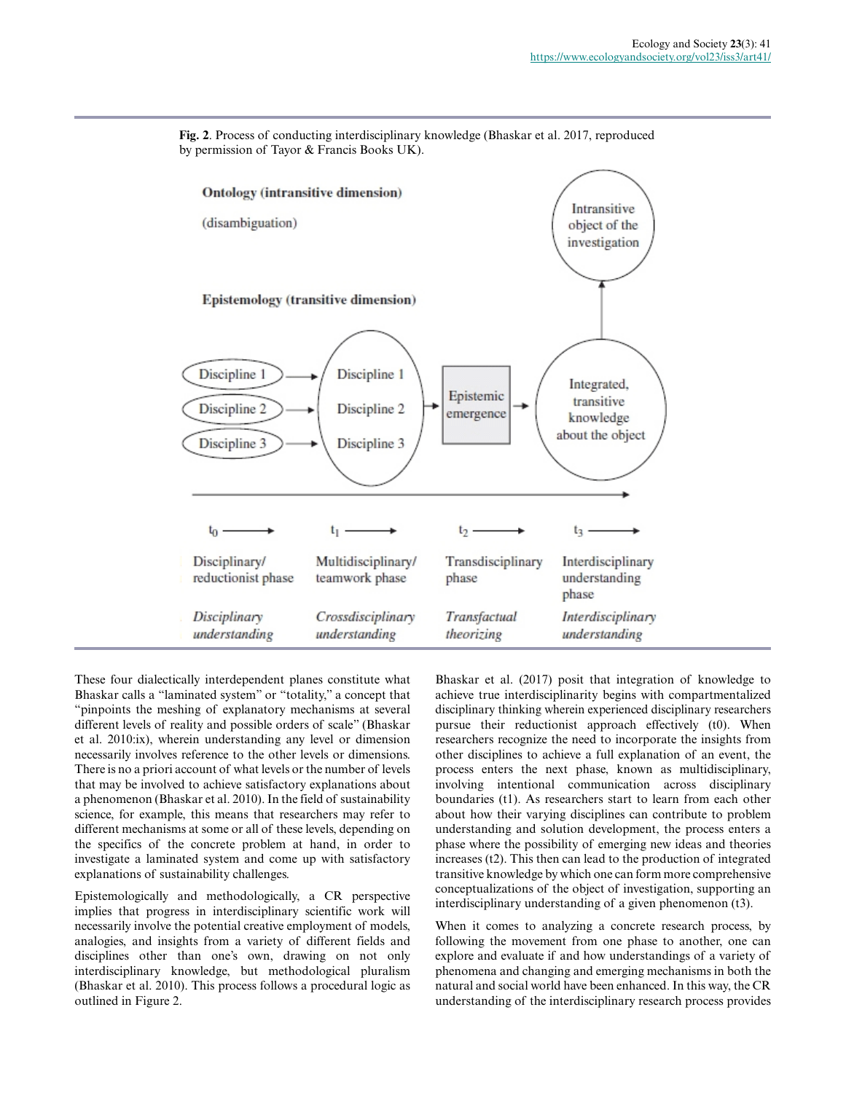

**Fig. 2**. Process of conducting interdisciplinary knowledge (Bhaskar et al. 2017, reproduced by permission of Tayor & Francis Books UK).

These four dialectically interdependent planes constitute what Bhaskar calls a "laminated system" or "totality," a concept that "pinpoints the meshing of explanatory mechanisms at several different levels of reality and possible orders of scale" (Bhaskar et al. 2010:ix), wherein understanding any level or dimension necessarily involves reference to the other levels or dimensions. There is no a priori account of what levels or the number of levels that may be involved to achieve satisfactory explanations about a phenomenon (Bhaskar et al. 2010). In the field of sustainability science, for example, this means that researchers may refer to different mechanisms at some or all of these levels, depending on the specifics of the concrete problem at hand, in order to investigate a laminated system and come up with satisfactory explanations of sustainability challenges.

Epistemologically and methodologically, a CR perspective implies that progress in interdisciplinary scientific work will necessarily involve the potential creative employment of models, analogies, and insights from a variety of different fields and disciplines other than one's own, drawing on not only interdisciplinary knowledge, but methodological pluralism (Bhaskar et al. 2010). This process follows a procedural logic as outlined in Figure 2.

Bhaskar et al. (2017) posit that integration of knowledge to achieve true interdisciplinarity begins with compartmentalized disciplinary thinking wherein experienced disciplinary researchers pursue their reductionist approach effectively (t0). When researchers recognize the need to incorporate the insights from other disciplines to achieve a full explanation of an event, the process enters the next phase, known as multidisciplinary, involving intentional communication across disciplinary boundaries (t1). As researchers start to learn from each other about how their varying disciplines can contribute to problem understanding and solution development, the process enters a phase where the possibility of emerging new ideas and theories increases (t2). This then can lead to the production of integrated transitive knowledge by which one can form more comprehensive conceptualizations of the object of investigation, supporting an interdisciplinary understanding of a given phenomenon (t3).

When it comes to analyzing a concrete research process, by following the movement from one phase to another, one can explore and evaluate if and how understandings of a variety of phenomena and changing and emerging mechanisms in both the natural and social world have been enhanced. In this way, the CR understanding of the interdisciplinary research process provides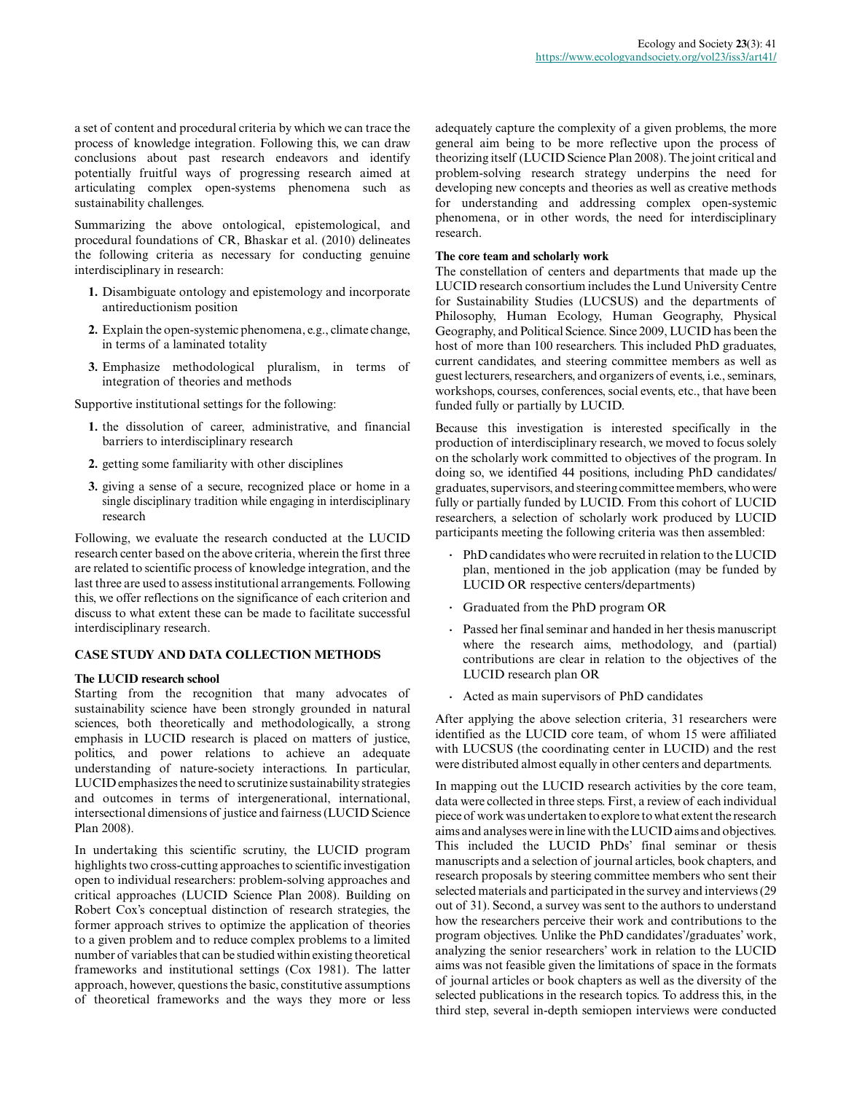a set of content and procedural criteria by which we can trace the process of knowledge integration. Following this, we can draw conclusions about past research endeavors and identify potentially fruitful ways of progressing research aimed at articulating complex open-systems phenomena such as sustainability challenges.

Summarizing the above ontological, epistemological, and procedural foundations of CR, Bhaskar et al. (2010) delineates the following criteria as necessary for conducting genuine interdisciplinary in research:

- **1.** Disambiguate ontology and epistemology and incorporate antireductionism position
- **2.** Explain the open-systemic phenomena, e.g., climate change, in terms of a laminated totality
- **3.** Emphasize methodological pluralism, in terms of integration of theories and methods

Supportive institutional settings for the following:

- **1.** the dissolution of career, administrative, and financial barriers to interdisciplinary research
- **2.** getting some familiarity with other disciplines
- **3.** giving a sense of a secure, recognized place or home in a single disciplinary tradition while engaging in interdisciplinary research

Following, we evaluate the research conducted at the LUCID research center based on the above criteria, wherein the first three are related to scientific process of knowledge integration, and the last three are used to assess institutional arrangements. Following this, we offer reflections on the significance of each criterion and discuss to what extent these can be made to facilitate successful interdisciplinary research.

# **CASE STUDY AND DATA COLLECTION METHODS**

## **The LUCID research school**

Starting from the recognition that many advocates of sustainability science have been strongly grounded in natural sciences, both theoretically and methodologically, a strong emphasis in LUCID research is placed on matters of justice, politics, and power relations to achieve an adequate understanding of nature-society interactions. In particular, LUCID emphasizes the need to scrutinize sustainability strategies and outcomes in terms of intergenerational, international, intersectional dimensions of justice and fairness (LUCID Science Plan 2008).

In undertaking this scientific scrutiny, the LUCID program highlights two cross-cutting approaches to scientific investigation open to individual researchers: problem-solving approaches and critical approaches (LUCID Science Plan 2008). Building on Robert Cox's conceptual distinction of research strategies, the former approach strives to optimize the application of theories to a given problem and to reduce complex problems to a limited number of variables that can be studied within existing theoretical frameworks and institutional settings (Cox 1981). The latter approach, however, questions the basic, constitutive assumptions of theoretical frameworks and the ways they more or less

adequately capture the complexity of a given problems, the more general aim being to be more reflective upon the process of theorizing itself (LUCID Science Plan 2008). The joint critical and problem-solving research strategy underpins the need for developing new concepts and theories as well as creative methods for understanding and addressing complex open-systemic phenomena, or in other words, the need for interdisciplinary research.

#### **The core team and scholarly work**

The constellation of centers and departments that made up the LUCID research consortium includes the Lund University Centre for Sustainability Studies (LUCSUS) and the departments of Philosophy, Human Ecology, Human Geography, Physical Geography, and Political Science. Since 2009, LUCID has been the host of more than 100 researchers. This included PhD graduates, current candidates, and steering committee members as well as guest lecturers, researchers, and organizers of events, i.e., seminars, workshops, courses, conferences, social events, etc., that have been funded fully or partially by LUCID.

Because this investigation is interested specifically in the production of interdisciplinary research, we moved to focus solely on the scholarly work committed to objectives of the program. In doing so, we identified 44 positions, including PhD candidates/ graduates, supervisors, and steering committee members, who were fully or partially funded by LUCID. From this cohort of LUCID researchers, a selection of scholarly work produced by LUCID participants meeting the following criteria was then assembled:

- **.** PhD candidates who were recruited in relation to the LUCID plan, mentioned in the job application (may be funded by LUCID OR respective centers/departments)
- **.** Graduated from the PhD program OR
- **.** Passed her final seminar and handed in her thesis manuscript where the research aims, methodology, and (partial) contributions are clear in relation to the objectives of the LUCID research plan OR
- **.** Acted as main supervisors of PhD candidates

After applying the above selection criteria, 31 researchers were identified as the LUCID core team, of whom 15 were affiliated with LUCSUS (the coordinating center in LUCID) and the rest were distributed almost equally in other centers and departments.

In mapping out the LUCID research activities by the core team, data were collected in three steps. First, a review of each individual piece of work was undertaken to explore to what extent the research aims and analyses were in line with the LUCID aims and objectives. This included the LUCID PhDs' final seminar or thesis manuscripts and a selection of journal articles, book chapters, and research proposals by steering committee members who sent their selected materials and participated in the survey and interviews (29 out of 31). Second, a survey was sent to the authors to understand how the researchers perceive their work and contributions to the program objectives. Unlike the PhD candidates'/graduates' work, analyzing the senior researchers' work in relation to the LUCID aims was not feasible given the limitations of space in the formats of journal articles or book chapters as well as the diversity of the selected publications in the research topics. To address this, in the third step, several in-depth semiopen interviews were conducted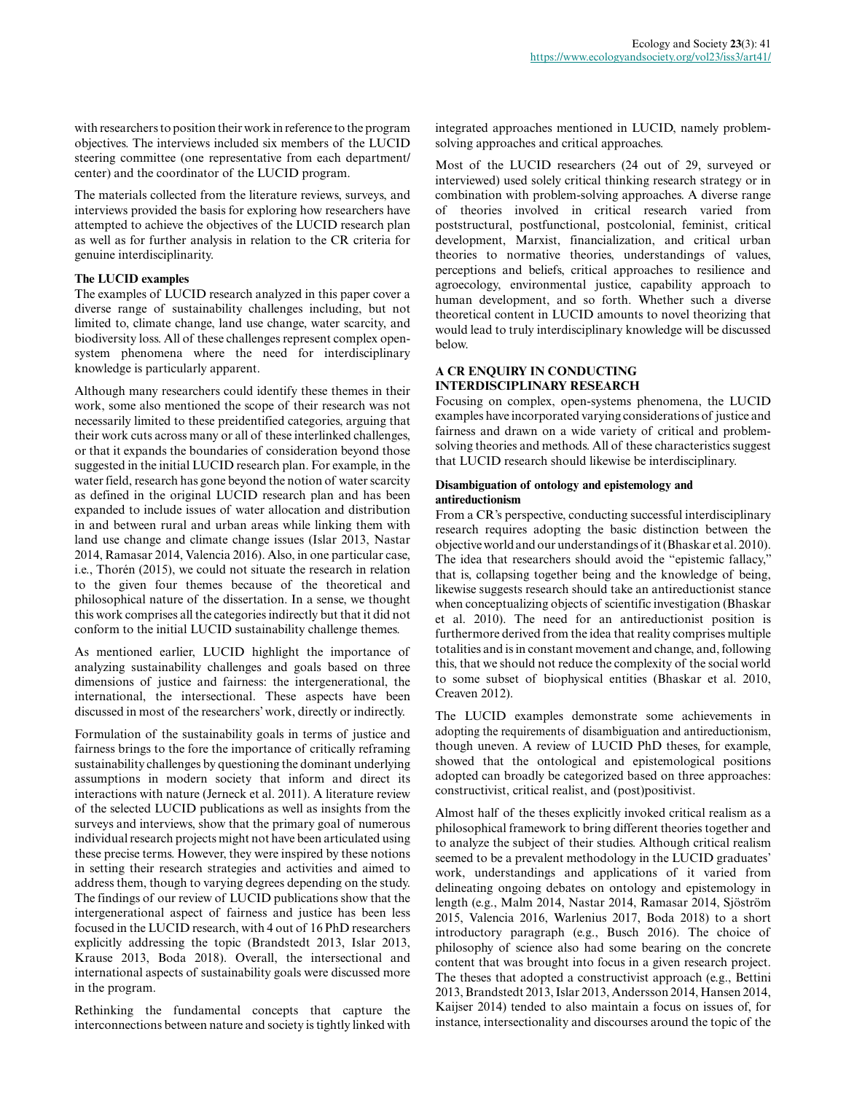with researchers to position their work in reference to the program objectives. The interviews included six members of the LUCID steering committee (one representative from each department/ center) and the coordinator of the LUCID program.

The materials collected from the literature reviews, surveys, and interviews provided the basis for exploring how researchers have attempted to achieve the objectives of the LUCID research plan as well as for further analysis in relation to the CR criteria for genuine interdisciplinarity.

## **The LUCID examples**

The examples of LUCID research analyzed in this paper cover a diverse range of sustainability challenges including, but not limited to, climate change, land use change, water scarcity, and biodiversity loss. All of these challenges represent complex opensystem phenomena where the need for interdisciplinary knowledge is particularly apparent.

Although many researchers could identify these themes in their work, some also mentioned the scope of their research was not necessarily limited to these preidentified categories, arguing that their work cuts across many or all of these interlinked challenges, or that it expands the boundaries of consideration beyond those suggested in the initial LUCID research plan. For example, in the water field, research has gone beyond the notion of water scarcity as defined in the original LUCID research plan and has been expanded to include issues of water allocation and distribution in and between rural and urban areas while linking them with land use change and climate change issues (Islar 2013, Nastar 2014, Ramasar 2014, Valencia 2016). Also, in one particular case, i.e., Thorén (2015), we could not situate the research in relation to the given four themes because of the theoretical and philosophical nature of the dissertation. In a sense, we thought this work comprises all the categories indirectly but that it did not conform to the initial LUCID sustainability challenge themes.

As mentioned earlier, LUCID highlight the importance of analyzing sustainability challenges and goals based on three dimensions of justice and fairness: the intergenerational, the international, the intersectional. These aspects have been discussed in most of the researchers' work, directly or indirectly.

Formulation of the sustainability goals in terms of justice and fairness brings to the fore the importance of critically reframing sustainability challenges by questioning the dominant underlying assumptions in modern society that inform and direct its interactions with nature (Jerneck et al. 2011). A literature review of the selected LUCID publications as well as insights from the surveys and interviews, show that the primary goal of numerous individual research projects might not have been articulated using these precise terms. However, they were inspired by these notions in setting their research strategies and activities and aimed to address them, though to varying degrees depending on the study. The findings of our review of LUCID publications show that the intergenerational aspect of fairness and justice has been less focused in the LUCID research, with 4 out of 16 PhD researchers explicitly addressing the topic (Brandstedt 2013, Islar 2013, Krause 2013, Boda 2018). Overall, the intersectional and international aspects of sustainability goals were discussed more in the program.

Rethinking the fundamental concepts that capture the interconnections between nature and society is tightly linked with integrated approaches mentioned in LUCID, namely problemsolving approaches and critical approaches.

Most of the LUCID researchers (24 out of 29, surveyed or interviewed) used solely critical thinking research strategy or in combination with problem-solving approaches. A diverse range of theories involved in critical research varied from poststructural, postfunctional, postcolonial, feminist, critical development, Marxist, financialization, and critical urban theories to normative theories, understandings of values, perceptions and beliefs, critical approaches to resilience and agroecology, environmental justice, capability approach to human development, and so forth. Whether such a diverse theoretical content in LUCID amounts to novel theorizing that would lead to truly interdisciplinary knowledge will be discussed below.

## **A CR ENQUIRY IN CONDUCTING INTERDISCIPLINARY RESEARCH**

Focusing on complex, open-systems phenomena, the LUCID examples have incorporated varying considerations of justice and fairness and drawn on a wide variety of critical and problemsolving theories and methods. All of these characteristics suggest that LUCID research should likewise be interdisciplinary.

## **Disambiguation of ontology and epistemology and antireductionism**

From a CR's perspective, conducting successful interdisciplinary research requires adopting the basic distinction between the objective world and our understandings of it (Bhaskar et al. 2010). The idea that researchers should avoid the "epistemic fallacy," that is, collapsing together being and the knowledge of being, likewise suggests research should take an antireductionist stance when conceptualizing objects of scientific investigation (Bhaskar et al. 2010). The need for an antireductionist position is furthermore derived from the idea that reality comprises multiple totalities and is in constant movement and change, and, following this, that we should not reduce the complexity of the social world to some subset of biophysical entities (Bhaskar et al. 2010, Creaven 2012).

The LUCID examples demonstrate some achievements in adopting the requirements of disambiguation and antireductionism, though uneven. A review of LUCID PhD theses, for example, showed that the ontological and epistemological positions adopted can broadly be categorized based on three approaches: constructivist, critical realist, and (post)positivist.

Almost half of the theses explicitly invoked critical realism as a philosophical framework to bring different theories together and to analyze the subject of their studies. Although critical realism seemed to be a prevalent methodology in the LUCID graduates' work, understandings and applications of it varied from delineating ongoing debates on ontology and epistemology in length (e.g., Malm 2014, Nastar 2014, Ramasar 2014, Sjöström 2015, Valencia 2016, Warlenius 2017, Boda 2018) to a short introductory paragraph (e.g., Busch 2016). The choice of philosophy of science also had some bearing on the concrete content that was brought into focus in a given research project. The theses that adopted a constructivist approach (e.g., Bettini 2013, Brandstedt 2013, Islar 2013, Andersson 2014, Hansen 2014, Kaijser 2014) tended to also maintain a focus on issues of, for instance, intersectionality and discourses around the topic of the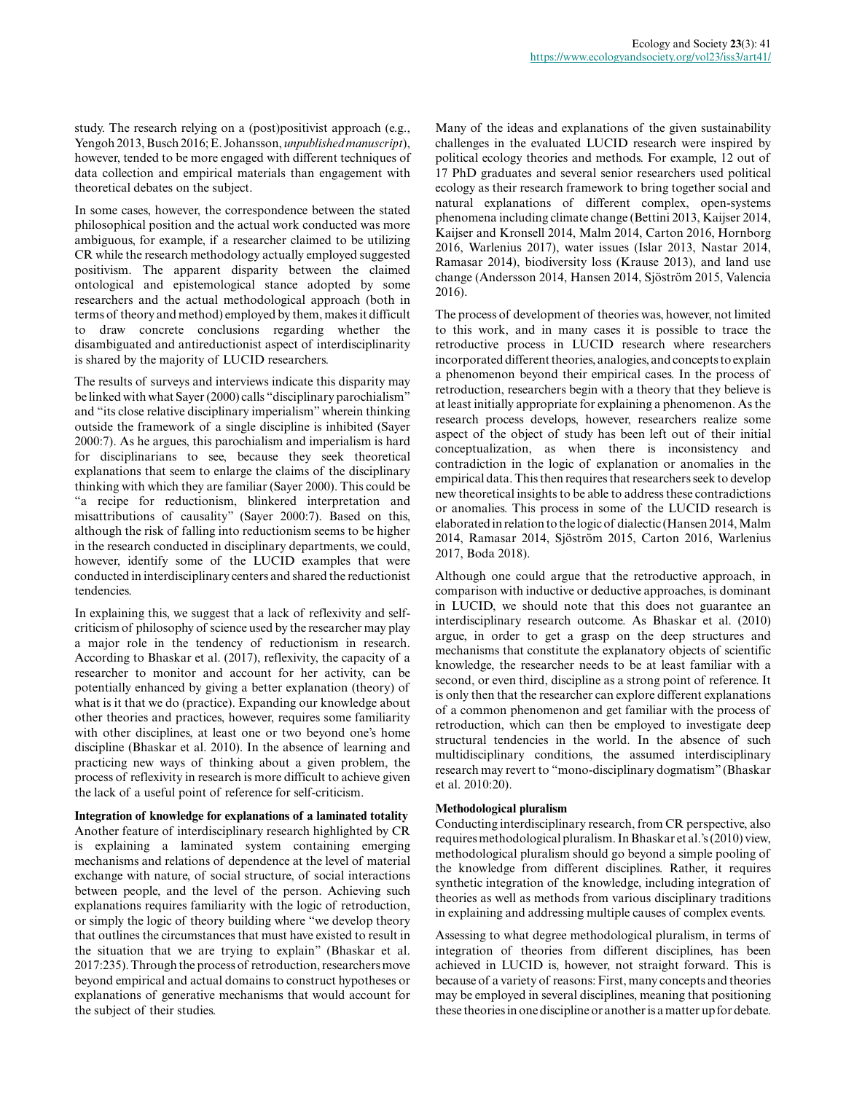study. The research relying on a (post)positivist approach (e.g., Yengoh 2013, Busch 2016; E. Johansson, *unpublished manuscript*), however, tended to be more engaged with different techniques of data collection and empirical materials than engagement with theoretical debates on the subject.

In some cases, however, the correspondence between the stated philosophical position and the actual work conducted was more ambiguous, for example, if a researcher claimed to be utilizing CR while the research methodology actually employed suggested positivism. The apparent disparity between the claimed ontological and epistemological stance adopted by some researchers and the actual methodological approach (both in terms of theory and method) employed by them, makes it difficult to draw concrete conclusions regarding whether the disambiguated and antireductionist aspect of interdisciplinarity is shared by the majority of LUCID researchers.

The results of surveys and interviews indicate this disparity may be linked with what Sayer (2000) calls "disciplinary parochialism" and "its close relative disciplinary imperialism" wherein thinking outside the framework of a single discipline is inhibited (Sayer 2000:7). As he argues, this parochialism and imperialism is hard for disciplinarians to see, because they seek theoretical explanations that seem to enlarge the claims of the disciplinary thinking with which they are familiar (Sayer 2000). This could be "a recipe for reductionism, blinkered interpretation and misattributions of causality" (Sayer 2000:7). Based on this, although the risk of falling into reductionism seems to be higher in the research conducted in disciplinary departments, we could, however, identify some of the LUCID examples that were conducted in interdisciplinary centers and shared the reductionist tendencies.

In explaining this, we suggest that a lack of reflexivity and selfcriticism of philosophy of science used by the researcher may play a major role in the tendency of reductionism in research. According to Bhaskar et al. (2017), reflexivity, the capacity of a researcher to monitor and account for her activity, can be potentially enhanced by giving a better explanation (theory) of what is it that we do (practice). Expanding our knowledge about other theories and practices, however, requires some familiarity with other disciplines, at least one or two beyond one's home discipline (Bhaskar et al. 2010). In the absence of learning and practicing new ways of thinking about a given problem, the process of reflexivity in research is more difficult to achieve given the lack of a useful point of reference for self-criticism.

## **Integration of knowledge for explanations of a laminated totality**

Another feature of interdisciplinary research highlighted by CR is explaining a laminated system containing emerging mechanisms and relations of dependence at the level of material exchange with nature, of social structure, of social interactions between people, and the level of the person. Achieving such explanations requires familiarity with the logic of retroduction, or simply the logic of theory building where "we develop theory that outlines the circumstances that must have existed to result in the situation that we are trying to explain" (Bhaskar et al. 2017:235). Through the process of retroduction, researchers move beyond empirical and actual domains to construct hypotheses or explanations of generative mechanisms that would account for the subject of their studies.

Many of the ideas and explanations of the given sustainability challenges in the evaluated LUCID research were inspired by political ecology theories and methods. For example, 12 out of 17 PhD graduates and several senior researchers used political ecology as their research framework to bring together social and natural explanations of different complex, open-systems phenomena including climate change (Bettini 2013, Kaijser 2014, Kaijser and Kronsell 2014, Malm 2014, Carton 2016, Hornborg 2016, Warlenius 2017), water issues (Islar 2013, Nastar 2014, Ramasar 2014), biodiversity loss (Krause 2013), and land use change (Andersson 2014, Hansen 2014, Sjöström 2015, Valencia 2016).

The process of development of theories was, however, not limited to this work, and in many cases it is possible to trace the retroductive process in LUCID research where researchers incorporated different theories, analogies, and concepts to explain a phenomenon beyond their empirical cases. In the process of retroduction, researchers begin with a theory that they believe is at least initially appropriate for explaining a phenomenon. As the research process develops, however, researchers realize some aspect of the object of study has been left out of their initial conceptualization, as when there is inconsistency and contradiction in the logic of explanation or anomalies in the empirical data. This then requires that researchers seek to develop new theoretical insights to be able to address these contradictions or anomalies. This process in some of the LUCID research is elaborated in relation to the logic of dialectic (Hansen 2014, Malm 2014, Ramasar 2014, Sjöström 2015, Carton 2016, Warlenius 2017, Boda 2018).

Although one could argue that the retroductive approach, in comparison with inductive or deductive approaches, is dominant in LUCID, we should note that this does not guarantee an interdisciplinary research outcome. As Bhaskar et al. (2010) argue, in order to get a grasp on the deep structures and mechanisms that constitute the explanatory objects of scientific knowledge, the researcher needs to be at least familiar with a second, or even third, discipline as a strong point of reference. It is only then that the researcher can explore different explanations of a common phenomenon and get familiar with the process of retroduction, which can then be employed to investigate deep structural tendencies in the world. In the absence of such multidisciplinary conditions, the assumed interdisciplinary research may revert to "mono-disciplinary dogmatism" (Bhaskar et al. 2010:20).

## **Methodological pluralism**

Conducting interdisciplinary research, from CR perspective, also requires methodological pluralism. In Bhaskar et al.'s (2010) view, methodological pluralism should go beyond a simple pooling of the knowledge from different disciplines. Rather, it requires synthetic integration of the knowledge, including integration of theories as well as methods from various disciplinary traditions in explaining and addressing multiple causes of complex events.

Assessing to what degree methodological pluralism, in terms of integration of theories from different disciplines, has been achieved in LUCID is, however, not straight forward. This is because of a variety of reasons: First, many concepts and theories may be employed in several disciplines, meaning that positioning these theories in one discipline or another is a matter up for debate.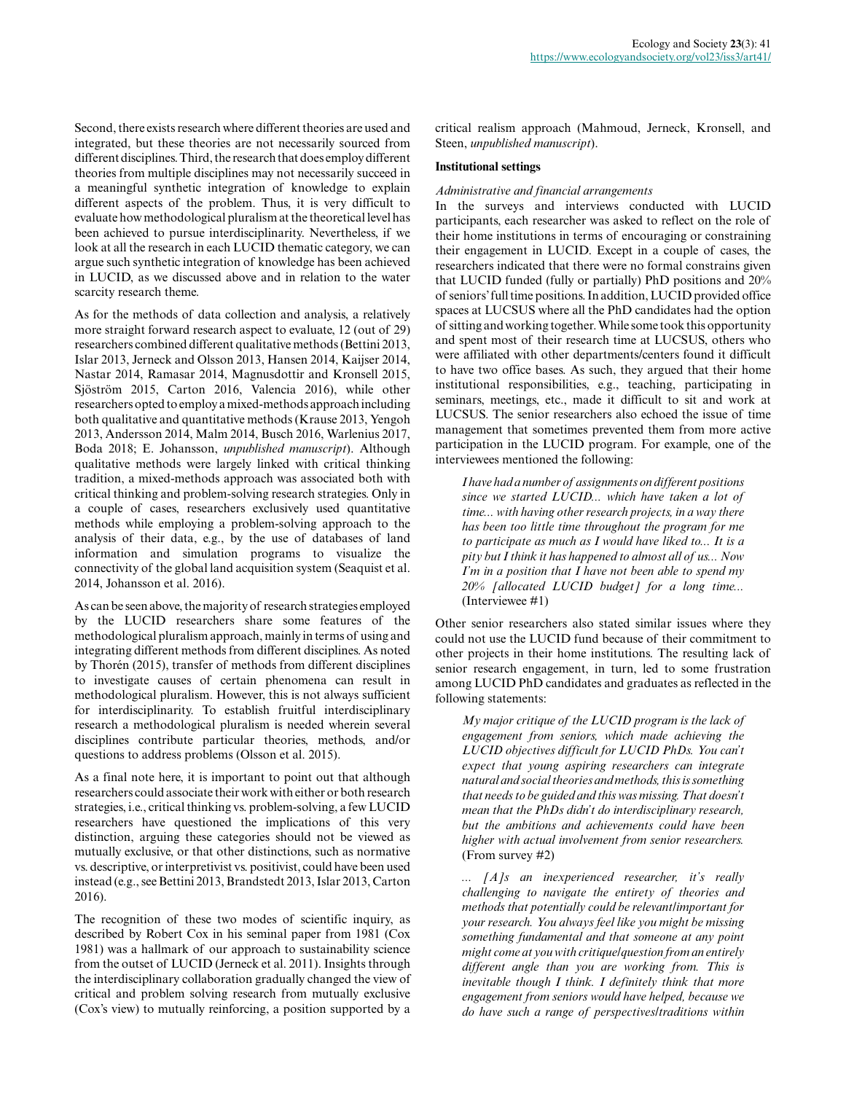Second, there exists research where different theories are used and integrated, but these theories are not necessarily sourced from different disciplines. Third, the research that does employ different theories from multiple disciplines may not necessarily succeed in a meaningful synthetic integration of knowledge to explain different aspects of the problem. Thus, it is very difficult to evaluate how methodological pluralism at the theoretical level has been achieved to pursue interdisciplinarity. Nevertheless, if we look at all the research in each LUCID thematic category, we can argue such synthetic integration of knowledge has been achieved in LUCID, as we discussed above and in relation to the water scarcity research theme.

As for the methods of data collection and analysis, a relatively more straight forward research aspect to evaluate, 12 (out of 29) researchers combined different qualitative methods (Bettini 2013, Islar 2013, Jerneck and Olsson 2013, Hansen 2014, Kaijser 2014, Nastar 2014, Ramasar 2014, Magnusdottir and Kronsell 2015, Sjöström 2015, Carton 2016, Valencia 2016), while other researchers opted to employ a mixed-methods approach including both qualitative and quantitative methods (Krause 2013, Yengoh 2013, Andersson 2014, Malm 2014, Busch 2016, Warlenius 2017, Boda 2018; E. Johansson, *unpublished manuscript*). Although qualitative methods were largely linked with critical thinking tradition, a mixed-methods approach was associated both with critical thinking and problem-solving research strategies. Only in a couple of cases, researchers exclusively used quantitative methods while employing a problem-solving approach to the analysis of their data, e.g., by the use of databases of land information and simulation programs to visualize the connectivity of the global land acquisition system (Seaquist et al. 2014, Johansson et al. 2016).

As can be seen above, the majority of research strategies employed by the LUCID researchers share some features of the methodological pluralism approach, mainly in terms of using and integrating different methods from different disciplines. As noted by Thorén (2015), transfer of methods from different disciplines to investigate causes of certain phenomena can result in methodological pluralism. However, this is not always sufficient for interdisciplinarity. To establish fruitful interdisciplinary research a methodological pluralism is needed wherein several disciplines contribute particular theories, methods, and/or questions to address problems (Olsson et al. 2015).

As a final note here, it is important to point out that although researchers could associate their work with either or both research strategies, i.e., critical thinking vs. problem-solving, a few LUCID researchers have questioned the implications of this very distinction, arguing these categories should not be viewed as mutually exclusive, or that other distinctions, such as normative vs. descriptive, or interpretivist vs. positivist, could have been used instead (e.g., see Bettini 2013, Brandstedt 2013, Islar 2013, Carton 2016).

The recognition of these two modes of scientific inquiry, as described by Robert Cox in his seminal paper from 1981 (Cox 1981) was a hallmark of our approach to sustainability science from the outset of LUCID (Jerneck et al. 2011). Insights through the interdisciplinary collaboration gradually changed the view of critical and problem solving research from mutually exclusive (Cox's view) to mutually reinforcing, a position supported by a

critical realism approach (Mahmoud, Jerneck, Kronsell, and Steen, *unpublished manuscript*).

#### **Institutional settings**

#### *Administrative and financial arrangements*

In the surveys and interviews conducted with LUCID participants, each researcher was asked to reflect on the role of their home institutions in terms of encouraging or constraining their engagement in LUCID. Except in a couple of cases, the researchers indicated that there were no formal constrains given that LUCID funded (fully or partially) PhD positions and 20% of seniors' full time positions. In addition, LUCID provided office spaces at LUCSUS where all the PhD candidates had the option of sitting and working together. While some took this opportunity and spent most of their research time at LUCSUS, others who were affiliated with other departments/centers found it difficult to have two office bases. As such, they argued that their home institutional responsibilities, e.g., teaching, participating in seminars, meetings, etc., made it difficult to sit and work at LUCSUS. The senior researchers also echoed the issue of time management that sometimes prevented them from more active participation in the LUCID program. For example, one of the interviewees mentioned the following:

*I have had a number of assignments on different positions since we started LUCID... which have taken a lot of time... with having other research projects, in a way there has been too little time throughout the program for me to participate as much as I would have liked to... It is a pity but I think it has happened to almost all of us... Now I'm in a position that I have not been able to spend my 20% [allocated LUCID budget] for a long time...* (Interviewee #1)

Other senior researchers also stated similar issues where they could not use the LUCID fund because of their commitment to other projects in their home institutions. The resulting lack of senior research engagement, in turn, led to some frustration among LUCID PhD candidates and graduates as reflected in the following statements:

*My major critique of the LUCID program is the lack of engagement from seniors, which made achieving the LUCID objectives difficult for LUCID PhDs. You can't expect that young aspiring researchers can integrate natural and social theories and methods, this is something that needs to be guided and this was missing. That doesn't mean that the PhDs didn't do interdisciplinary research, but the ambitions and achievements could have been higher with actual involvement from senior researchers.* (From survey #2)

*... [A]s an inexperienced researcher, it's really challenging to navigate the entirety of theories and methods that potentially could be relevant/important for your research. You always feel like you might be missing something fundamental and that someone at any point might come at you with critique/question from an entirely different angle than you are working from. This is inevitable though I think. I definitely think that more engagement from seniors would have helped, because we do have such a range of perspectives/traditions within*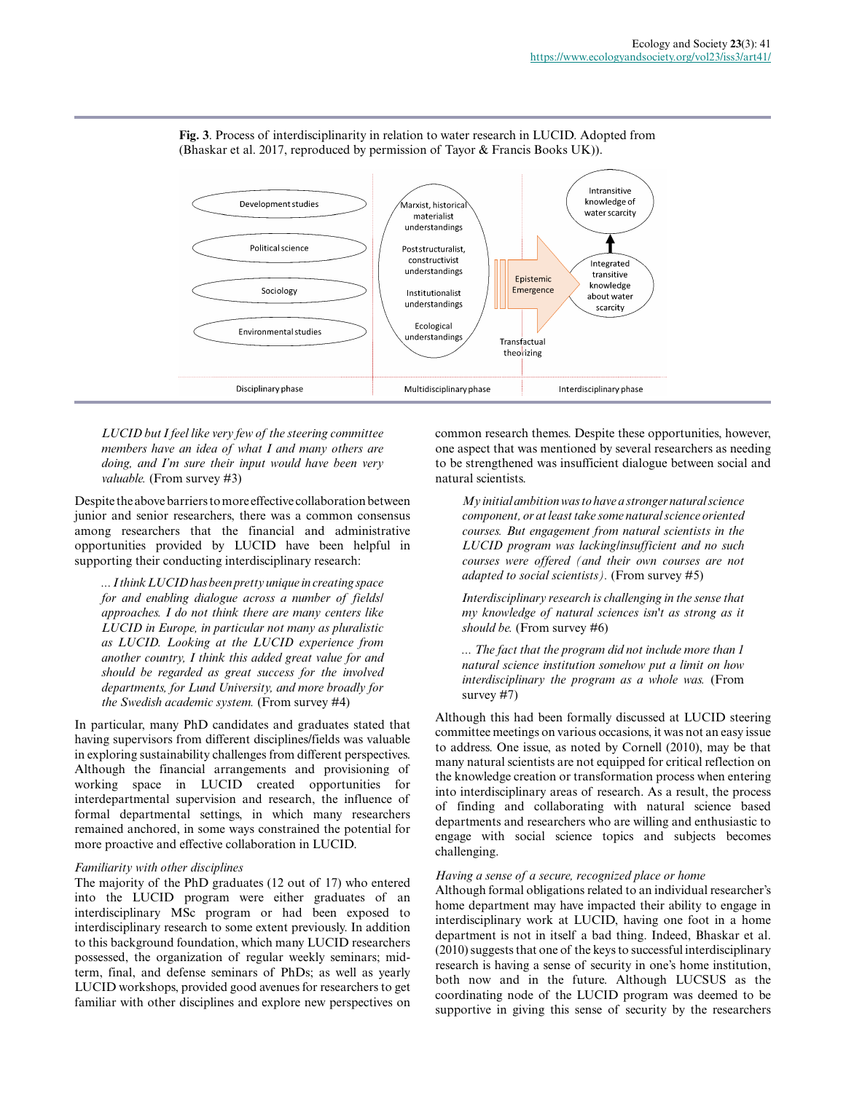

**Fig. 3**. Process of interdisciplinarity in relation to water research in LUCID. Adopted from (Bhaskar et al. 2017, reproduced by permission of Tayor & Francis Books UK)).

*LUCID but I feel like very few of the steering committee members have an idea of what I and many others are doing, and I'm sure their input would have been very valuable.* (From survey #3)

Despite the above barriers to more effective collaboration between junior and senior researchers, there was a common consensus among researchers that the financial and administrative opportunities provided by LUCID have been helpful in supporting their conducting interdisciplinary research:

*... I think LUCID has been pretty unique in creating space for and enabling dialogue across a number of fields/ approaches. I do not think there are many centers like LUCID in Europe, in particular not many as pluralistic as LUCID. Looking at the LUCID experience from another country, I think this added great value for and should be regarded as great success for the involved departments, for Lund University, and more broadly for the Swedish academic system.* (From survey #4)

In particular, many PhD candidates and graduates stated that having supervisors from different disciplines/fields was valuable in exploring sustainability challenges from different perspectives. Although the financial arrangements and provisioning of working space in LUCID created opportunities for interdepartmental supervision and research, the influence of formal departmental settings, in which many researchers remained anchored, in some ways constrained the potential for more proactive and effective collaboration in LUCID.

## *Familiarity with other disciplines*

The majority of the PhD graduates (12 out of 17) who entered into the LUCID program were either graduates of an interdisciplinary MSc program or had been exposed to interdisciplinary research to some extent previously. In addition to this background foundation, which many LUCID researchers possessed, the organization of regular weekly seminars; midterm, final, and defense seminars of PhDs; as well as yearly LUCID workshops, provided good avenues for researchers to get familiar with other disciplines and explore new perspectives on

common research themes. Despite these opportunities, however, one aspect that was mentioned by several researchers as needing to be strengthened was insufficient dialogue between social and natural scientists.

*My initial ambition was to have a stronger natural science component, or at least take some natural science oriented courses. But engagement from natural scientists in the LUCID program was lacking/insufficient and no such courses were offered (and their own courses are not adapted to social scientists).* (From survey #5)

*Interdisciplinary research is challenging in the sense that my knowledge of natural sciences isn't as strong as it should be.* (From survey #6)

*... The fact that the program did not include more than 1 natural science institution somehow put a limit on how interdisciplinary the program as a whole was.* (From survey #7)

Although this had been formally discussed at LUCID steering committee meetings on various occasions, it was not an easy issue to address. One issue, as noted by Cornell (2010), may be that many natural scientists are not equipped for critical reflection on the knowledge creation or transformation process when entering into interdisciplinary areas of research. As a result, the process of finding and collaborating with natural science based departments and researchers who are willing and enthusiastic to engage with social science topics and subjects becomes challenging.

## *Having a sense of a secure, recognized place or home*

Although formal obligations related to an individual researcher's home department may have impacted their ability to engage in interdisciplinary work at LUCID, having one foot in a home department is not in itself a bad thing. Indeed, Bhaskar et al. (2010) suggests that one of the keys to successful interdisciplinary research is having a sense of security in one's home institution, both now and in the future. Although LUCSUS as the coordinating node of the LUCID program was deemed to be supportive in giving this sense of security by the researchers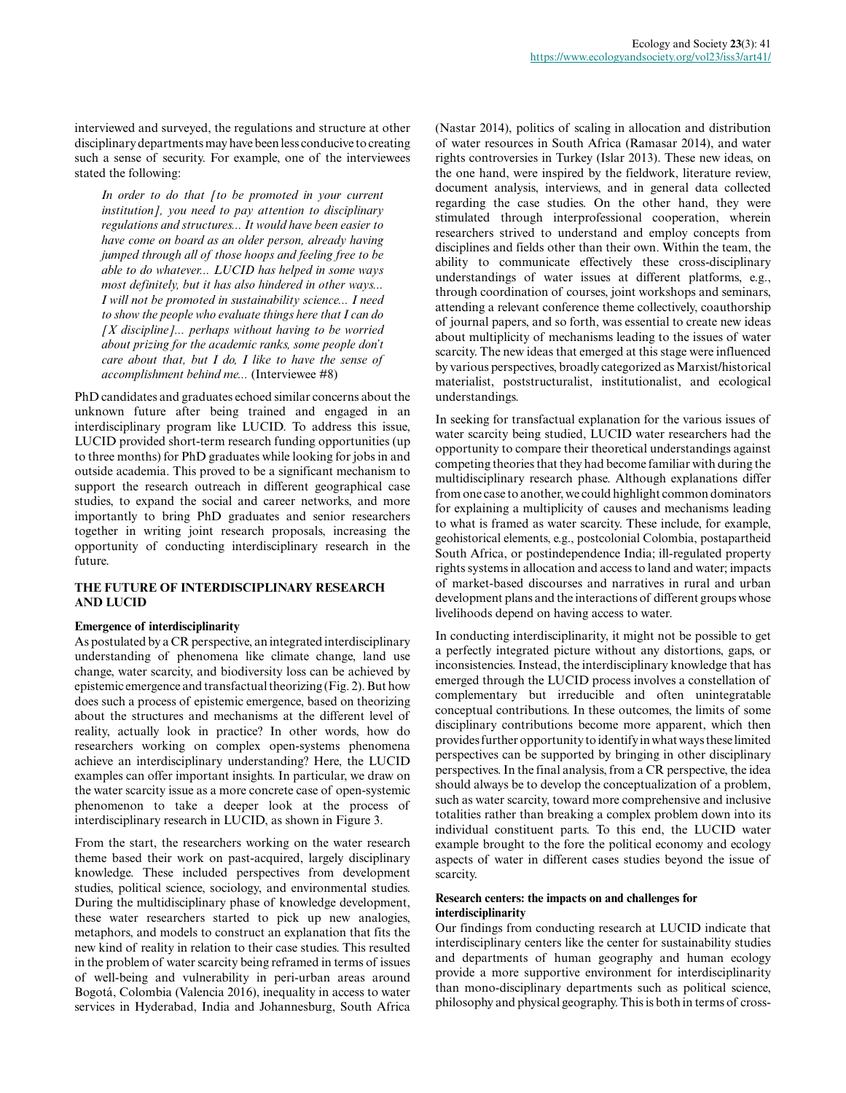interviewed and surveyed, the regulations and structure at other disciplinary departments may have been less conducive to creating such a sense of security. For example, one of the interviewees stated the following:

*In order to do that [to be promoted in your current institution], you need to pay attention to disciplinary regulations and structures... It would have been easier to have come on board as an older person, already having jumped through all of those hoops and feeling free to be able to do whatever... LUCID has helped in some ways most definitely, but it has also hindered in other ways... I will not be promoted in sustainability science... I need to show the people who evaluate things here that I can do [X discipline]... perhaps without having to be worried about prizing for the academic ranks, some people don't care about that, but I do, I like to have the sense of accomplishment behind me...* (Interviewee #8)

PhD candidates and graduates echoed similar concerns about the unknown future after being trained and engaged in an interdisciplinary program like LUCID. To address this issue, LUCID provided short-term research funding opportunities (up to three months) for PhD graduates while looking for jobs in and outside academia. This proved to be a significant mechanism to support the research outreach in different geographical case studies, to expand the social and career networks, and more importantly to bring PhD graduates and senior researchers together in writing joint research proposals, increasing the opportunity of conducting interdisciplinary research in the future.

# **THE FUTURE OF INTERDISCIPLINARY RESEARCH AND LUCID**

# **Emergence of interdisciplinarity**

As postulated by a CR perspective, an integrated interdisciplinary understanding of phenomena like climate change, land use change, water scarcity, and biodiversity loss can be achieved by epistemic emergence and transfactual theorizing (Fig. 2). But how does such a process of epistemic emergence, based on theorizing about the structures and mechanisms at the different level of reality, actually look in practice? In other words, how do researchers working on complex open-systems phenomena achieve an interdisciplinary understanding? Here, the LUCID examples can offer important insights. In particular, we draw on the water scarcity issue as a more concrete case of open-systemic phenomenon to take a deeper look at the process of interdisciplinary research in LUCID, as shown in Figure 3.

From the start, the researchers working on the water research theme based their work on past-acquired, largely disciplinary knowledge. These included perspectives from development studies, political science, sociology, and environmental studies. During the multidisciplinary phase of knowledge development, these water researchers started to pick up new analogies, metaphors, and models to construct an explanation that fits the new kind of reality in relation to their case studies. This resulted in the problem of water scarcity being reframed in terms of issues of well-being and vulnerability in peri-urban areas around Bogotá, Colombia (Valencia 2016), inequality in access to water services in Hyderabad, India and Johannesburg, South Africa

(Nastar 2014), politics of scaling in allocation and distribution of water resources in South Africa (Ramasar 2014), and water rights controversies in Turkey (Islar 2013). These new ideas, on the one hand, were inspired by the fieldwork, literature review, document analysis, interviews, and in general data collected regarding the case studies. On the other hand, they were stimulated through interprofessional cooperation, wherein researchers strived to understand and employ concepts from disciplines and fields other than their own. Within the team, the ability to communicate effectively these cross-disciplinary understandings of water issues at different platforms, e.g., through coordination of courses, joint workshops and seminars, attending a relevant conference theme collectively, coauthorship of journal papers, and so forth, was essential to create new ideas about multiplicity of mechanisms leading to the issues of water scarcity. The new ideas that emerged at this stage were influenced by various perspectives, broadly categorized as Marxist/historical materialist, poststructuralist, institutionalist, and ecological understandings.

In seeking for transfactual explanation for the various issues of water scarcity being studied, LUCID water researchers had the opportunity to compare their theoretical understandings against competing theories that they had become familiar with during the multidisciplinary research phase. Although explanations differ from one case to another, we could highlight common dominators for explaining a multiplicity of causes and mechanisms leading to what is framed as water scarcity. These include, for example, geohistorical elements, e.g., postcolonial Colombia, postapartheid South Africa, or postindependence India; ill-regulated property rights systems in allocation and access to land and water; impacts of market-based discourses and narratives in rural and urban development plans and the interactions of different groups whose livelihoods depend on having access to water.

In conducting interdisciplinarity, it might not be possible to get a perfectly integrated picture without any distortions, gaps, or inconsistencies. Instead, the interdisciplinary knowledge that has emerged through the LUCID process involves a constellation of complementary but irreducible and often unintegratable conceptual contributions. In these outcomes, the limits of some disciplinary contributions become more apparent, which then provides further opportunity to identify in what ways these limited perspectives can be supported by bringing in other disciplinary perspectives. In the final analysis, from a CR perspective, the idea should always be to develop the conceptualization of a problem, such as water scarcity, toward more comprehensive and inclusive totalities rather than breaking a complex problem down into its individual constituent parts. To this end, the LUCID water example brought to the fore the political economy and ecology aspects of water in different cases studies beyond the issue of scarcity.

## **Research centers: the impacts on and challenges for interdisciplinarity**

Our findings from conducting research at LUCID indicate that interdisciplinary centers like the center for sustainability studies and departments of human geography and human ecology provide a more supportive environment for interdisciplinarity than mono-disciplinary departments such as political science, philosophy and physical geography. This is both in terms of cross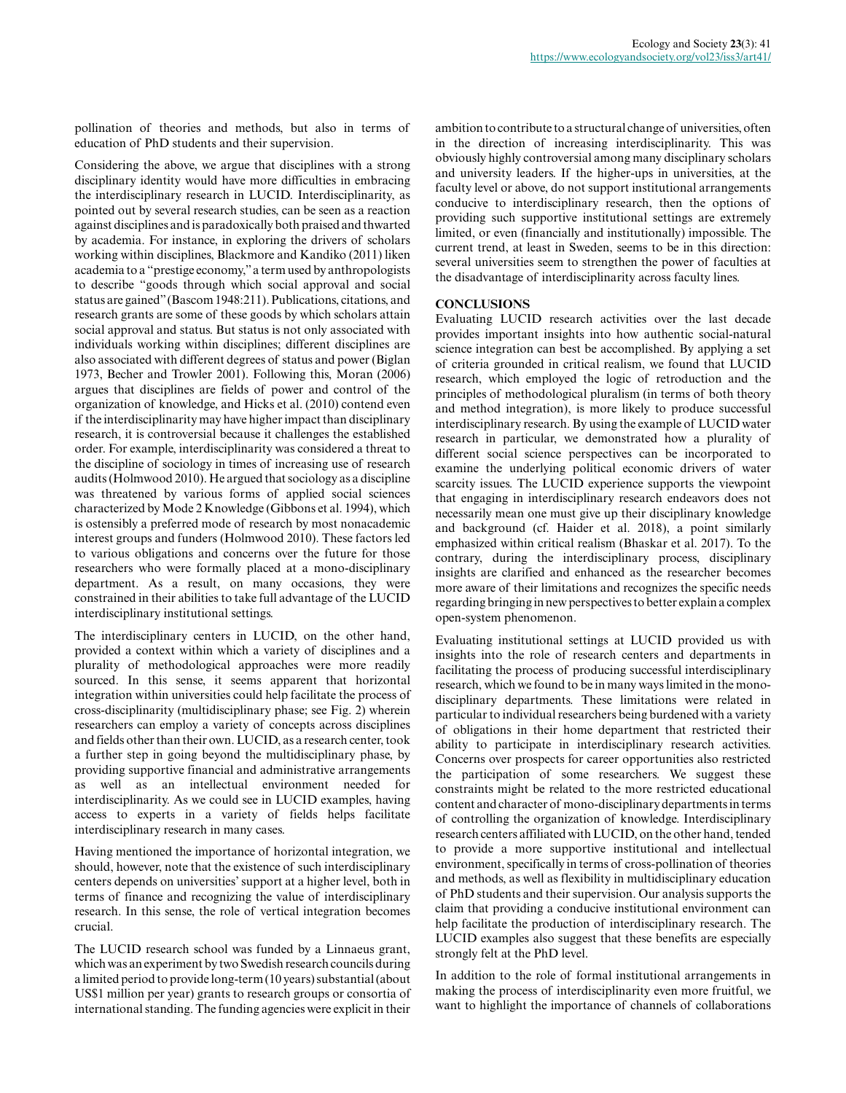pollination of theories and methods, but also in terms of education of PhD students and their supervision.

Considering the above, we argue that disciplines with a strong disciplinary identity would have more difficulties in embracing the interdisciplinary research in LUCID. Interdisciplinarity, as pointed out by several research studies, can be seen as a reaction against disciplines and is paradoxically both praised and thwarted by academia. For instance, in exploring the drivers of scholars working within disciplines, Blackmore and Kandiko (2011) liken academia to a "prestige economy," a term used by anthropologists to describe "goods through which social approval and social status are gained" (Bascom 1948:211). Publications, citations, and research grants are some of these goods by which scholars attain social approval and status. But status is not only associated with individuals working within disciplines; different disciplines are also associated with different degrees of status and power (Biglan 1973, Becher and Trowler 2001). Following this, Moran (2006) argues that disciplines are fields of power and control of the organization of knowledge, and Hicks et al. (2010) contend even if the interdisciplinarity may have higher impact than disciplinary research, it is controversial because it challenges the established order. For example, interdisciplinarity was considered a threat to the discipline of sociology in times of increasing use of research audits (Holmwood 2010). He argued that sociology as a discipline was threatened by various forms of applied social sciences characterized by Mode 2 Knowledge (Gibbons et al. 1994), which is ostensibly a preferred mode of research by most nonacademic interest groups and funders (Holmwood 2010). These factors led to various obligations and concerns over the future for those researchers who were formally placed at a mono-disciplinary department. As a result, on many occasions, they were constrained in their abilities to take full advantage of the LUCID interdisciplinary institutional settings.

The interdisciplinary centers in LUCID, on the other hand, provided a context within which a variety of disciplines and a plurality of methodological approaches were more readily sourced. In this sense, it seems apparent that horizontal integration within universities could help facilitate the process of cross-disciplinarity (multidisciplinary phase; see Fig. 2) wherein researchers can employ a variety of concepts across disciplines and fields other than their own. LUCID, as a research center, took a further step in going beyond the multidisciplinary phase, by providing supportive financial and administrative arrangements as well as an intellectual environment needed for interdisciplinarity. As we could see in LUCID examples, having access to experts in a variety of fields helps facilitate interdisciplinary research in many cases.

Having mentioned the importance of horizontal integration, we should, however, note that the existence of such interdisciplinary centers depends on universities' support at a higher level, both in terms of finance and recognizing the value of interdisciplinary research. In this sense, the role of vertical integration becomes crucial.

The LUCID research school was funded by a Linnaeus grant, which was an experiment by two Swedish research councils during a limited period to provide long-term (10 years) substantial (about US\$1 million per year) grants to research groups or consortia of international standing. The funding agencies were explicit in their

ambition to contribute to a structural change of universities, often in the direction of increasing interdisciplinarity. This was obviously highly controversial among many disciplinary scholars and university leaders. If the higher-ups in universities, at the faculty level or above, do not support institutional arrangements conducive to interdisciplinary research, then the options of providing such supportive institutional settings are extremely limited, or even (financially and institutionally) impossible. The current trend, at least in Sweden, seems to be in this direction: several universities seem to strengthen the power of faculties at the disadvantage of interdisciplinarity across faculty lines.

## **CONCLUSIONS**

Evaluating LUCID research activities over the last decade provides important insights into how authentic social-natural science integration can best be accomplished. By applying a set of criteria grounded in critical realism, we found that LUCID research, which employed the logic of retroduction and the principles of methodological pluralism (in terms of both theory and method integration), is more likely to produce successful interdisciplinary research. By using the example of LUCID water research in particular, we demonstrated how a plurality of different social science perspectives can be incorporated to examine the underlying political economic drivers of water scarcity issues. The LUCID experience supports the viewpoint that engaging in interdisciplinary research endeavors does not necessarily mean one must give up their disciplinary knowledge and background (cf. Haider et al. 2018), a point similarly emphasized within critical realism (Bhaskar et al. 2017). To the contrary, during the interdisciplinary process, disciplinary insights are clarified and enhanced as the researcher becomes more aware of their limitations and recognizes the specific needs regarding bringing in new perspectives to better explain a complex open-system phenomenon.

Evaluating institutional settings at LUCID provided us with insights into the role of research centers and departments in facilitating the process of producing successful interdisciplinary research, which we found to be in many ways limited in the monodisciplinary departments. These limitations were related in particular to individual researchers being burdened with a variety of obligations in their home department that restricted their ability to participate in interdisciplinary research activities. Concerns over prospects for career opportunities also restricted the participation of some researchers. We suggest these constraints might be related to the more restricted educational content and character of mono-disciplinary departments in terms of controlling the organization of knowledge. Interdisciplinary research centers affiliated with LUCID, on the other hand, tended to provide a more supportive institutional and intellectual environment, specifically in terms of cross-pollination of theories and methods, as well as flexibility in multidisciplinary education of PhD students and their supervision. Our analysis supports the claim that providing a conducive institutional environment can help facilitate the production of interdisciplinary research. The LUCID examples also suggest that these benefits are especially strongly felt at the PhD level.

In addition to the role of formal institutional arrangements in making the process of interdisciplinarity even more fruitful, we want to highlight the importance of channels of collaborations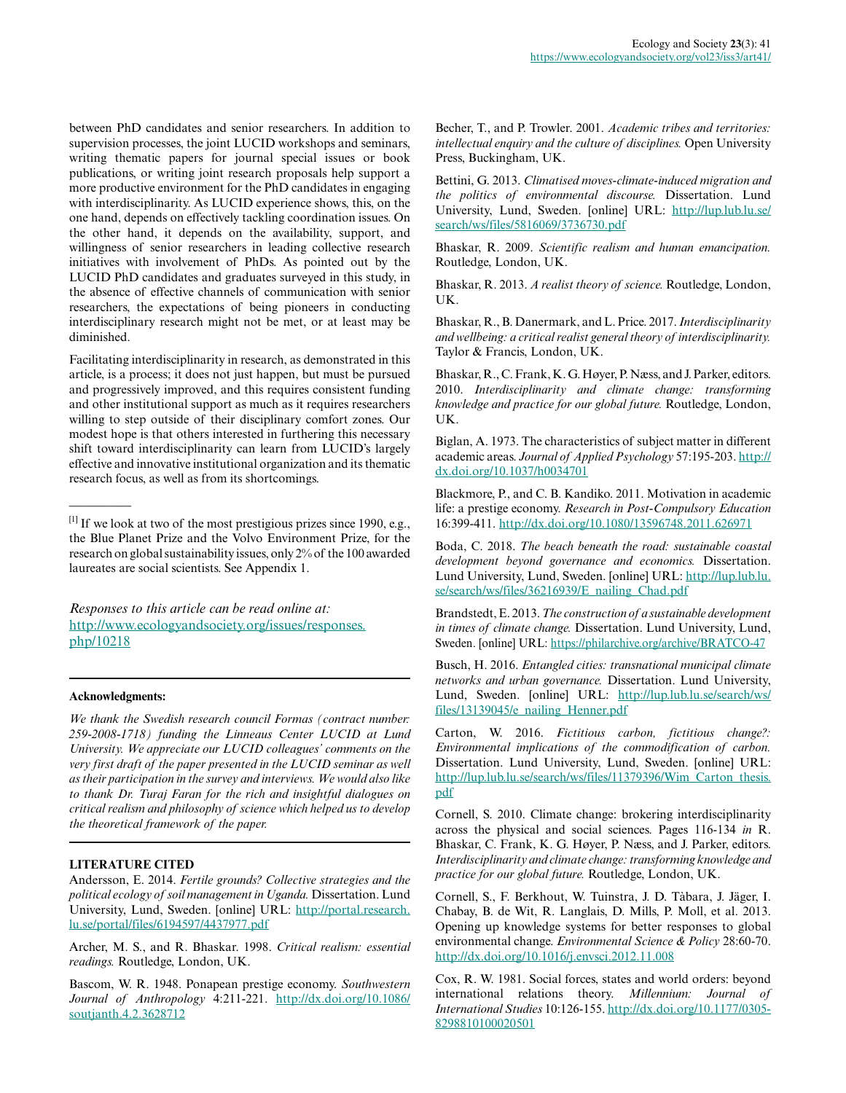between PhD candidates and senior researchers. In addition to supervision processes, the joint LUCID workshops and seminars, writing thematic papers for journal special issues or book publications, or writing joint research proposals help support a more productive environment for the PhD candidates in engaging with interdisciplinarity. As LUCID experience shows, this, on the one hand, depends on effectively tackling coordination issues. On the other hand, it depends on the availability, support, and willingness of senior researchers in leading collective research initiatives with involvement of PhDs. As pointed out by the LUCID PhD candidates and graduates surveyed in this study, in the absence of effective channels of communication with senior researchers, the expectations of being pioneers in conducting interdisciplinary research might not be met, or at least may be diminished.

Facilitating interdisciplinarity in research, as demonstrated in this article, is a process; it does not just happen, but must be pursued and progressively improved, and this requires consistent funding and other institutional support as much as it requires researchers willing to step outside of their disciplinary comfort zones. Our modest hope is that others interested in furthering this necessary shift toward interdisciplinarity can learn from LUCID's largely effective and innovative institutional organization and its thematic research focus, as well as from its shortcomings.

*Responses to this article can be read online at:* [http://www.ecologyandsociety.org/issues/responses.](http://www.ecologyandsociety.org/issues/responses.php/10218) [php/10218](http://www.ecologyandsociety.org/issues/responses.php/10218)

## **Acknowledgments:**

 $\overline{\phantom{a}}$ 

*We thank the Swedish research council Formas (contract number: 259-2008-1718) funding the Linneaus Center LUCID at Lund University. We appreciate our LUCID colleagues' comments on the very first draft of the paper presented in the LUCID seminar as well as their participation in the survey and interviews. We would also like to thank Dr. Turaj Faran for the rich and insightful dialogues on critical realism and philosophy of science which helped us to develop the theoretical framework of the paper.*

## **LITERATURE CITED**

Andersson, E. 2014. *Fertile grounds? Collective strategies and the political ecology of soil management in Uganda.* Dissertation. Lund University, Lund, Sweden. [online] URL: [http://portal.research.](http://portal.research.lu.se/portal/files/6194597/4437977.pdf) [lu.se/portal/files/6194597/4437977.pdf](http://portal.research.lu.se/portal/files/6194597/4437977.pdf)

Archer, M. S., and R. Bhaskar. 1998. *Critical realism: essential readings.* Routledge, London, UK.

Bascom, W. R. 1948. Ponapean prestige economy. *Southwestern Journal of Anthropology* 4:211-221. [http://dx.doi.org/10.1086/](http://dx.doi.org/10.1086%2Fsoutjanth.4.2.3628712) [soutjanth.4.2.3628712](http://dx.doi.org/10.1086%2Fsoutjanth.4.2.3628712)

Becher, T., and P. Trowler. 2001. *Academic tribes and territories: intellectual enquiry and the culture of disciplines.* Open University Press, Buckingham, UK.

Bettini, G. 2013. *Climatised moves-climate-induced migration and the politics of environmental discourse.* Dissertation. Lund University, Lund, Sweden. [online] URL: [http://lup.lub.lu.se/](http://lup.lub.lu.se/search/ws/files/5816069/3736730.pdf) [search/ws/files/5816069/3736730.pdf](http://lup.lub.lu.se/search/ws/files/5816069/3736730.pdf)

Bhaskar, R. 2009. *Scientific realism and human emancipation.* Routledge, London, UK.

Bhaskar, R. 2013. *A realist theory of science.* Routledge, London, UK.

Bhaskar, R., B. Danermark, and L. Price. 2017. *Interdisciplinarity and wellbeing: a critical realist general theory of interdisciplinarity.* Taylor & Francis, London, UK.

Bhaskar, R., C. Frank, K. G. Høyer, P. Næss, and J. Parker, editors. 2010. *Interdisciplinarity and climate change: transforming knowledge and practice for our global future.* Routledge, London, UK.

Biglan, A. 1973. The characteristics of subject matter in different academic areas. *Journal of Applied Psychology* 57:195-203. [http://](http://dx.doi.org/10.1037%2Fh0034701) [dx.doi.org/10.1037/h0034701](http://dx.doi.org/10.1037%2Fh0034701)

Blackmore, P., and C. B. Kandiko. 2011. Motivation in academic life: a prestige economy. *Research in Post-Compulsory Education* 16:399-411. [http://dx.doi.org/10.1080/13596748.2011.626971](http://dx.doi.org/10.1080%2F13596748.2011.626971)

Boda, C. 2018. *The beach beneath the road: sustainable coastal development beyond governance and economics.* Dissertation. Lund University, Lund, Sweden. [online] URL: [http://lup.lub.lu.](http://lup.lub.lu.se/search/ws/files/36216939/E_nailing_Chad.pdf) [se/search/ws/files/36216939/E\\_nailing\\_Chad.pdf](http://lup.lub.lu.se/search/ws/files/36216939/E_nailing_Chad.pdf)

Brandstedt, E. 2013. *The construction of a sustainable development in times of climate change.* Dissertation. Lund University, Lund, Sweden. [online] URL: <https://philarchive.org/archive/BRATCO-47>

Busch, H. 2016. *Entangled cities: transnational municipal climate networks and urban governance.* Dissertation. Lund University, Lund, Sweden. [online] URL: [http://lup.lub.lu.se/search/ws/](http://lup.lub.lu.se/search/ws/files/13139045/e_nailing_Henner.pdf) [files/13139045/e\\_nailing\\_Henner.pdf](http://lup.lub.lu.se/search/ws/files/13139045/e_nailing_Henner.pdf)

Carton, W. 2016. *Fictitious carbon, fictitious change?: Environmental implications of the commodification of carbon.* Dissertation. Lund University, Lund, Sweden. [online] URL: [http://lup.lub.lu.se/search/ws/files/11379396/Wim\\_Carton\\_thesis.](http://lup.lub.lu.se/search/ws/files/11379396/Wim_Carton_thesis.pdf) [pdf](http://lup.lub.lu.se/search/ws/files/11379396/Wim_Carton_thesis.pdf)

Cornell, S. 2010. Climate change: brokering interdisciplinarity across the physical and social sciences. Pages 116-134 *in* R. Bhaskar, C. Frank, K. G. Høyer, P. Næss, and J. Parker, editors. *Interdisciplinarity and climate change: transforming knowledge and practice for our global future.* Routledge, London, UK.

Cornell, S., F. Berkhout, W. Tuinstra, J. D. Tàbara, J. Jäger, I. Chabay, B. de Wit, R. Langlais, D. Mills, P. Moll, et al. 2013. Opening up knowledge systems for better responses to global environmental change. *Environmental Science & Policy* 28:60-70. [http://dx.doi.org/10.1016/j.envsci.2012.11.008](http://dx.doi.org/10.1016%2Fj.envsci.2012.11.008) 

Cox, R. W. 1981. Social forces, states and world orders: beyond international relations theory. *Millennium: Journal of International Studies* 10:126-155. [http://dx.doi.org/10.1177/0305](http://dx.doi.org/10.1177%2F03058298810100020501) [8298810100020501](http://dx.doi.org/10.1177%2F03058298810100020501)

<sup>&</sup>lt;sup>[1]</sup> If we look at two of the most prestigious prizes since 1990, e.g., the Blue Planet Prize and the Volvo Environment Prize, for the research on global sustainability issues, only 2% of the 100 awarded laureates are social scientists. See Appendix 1.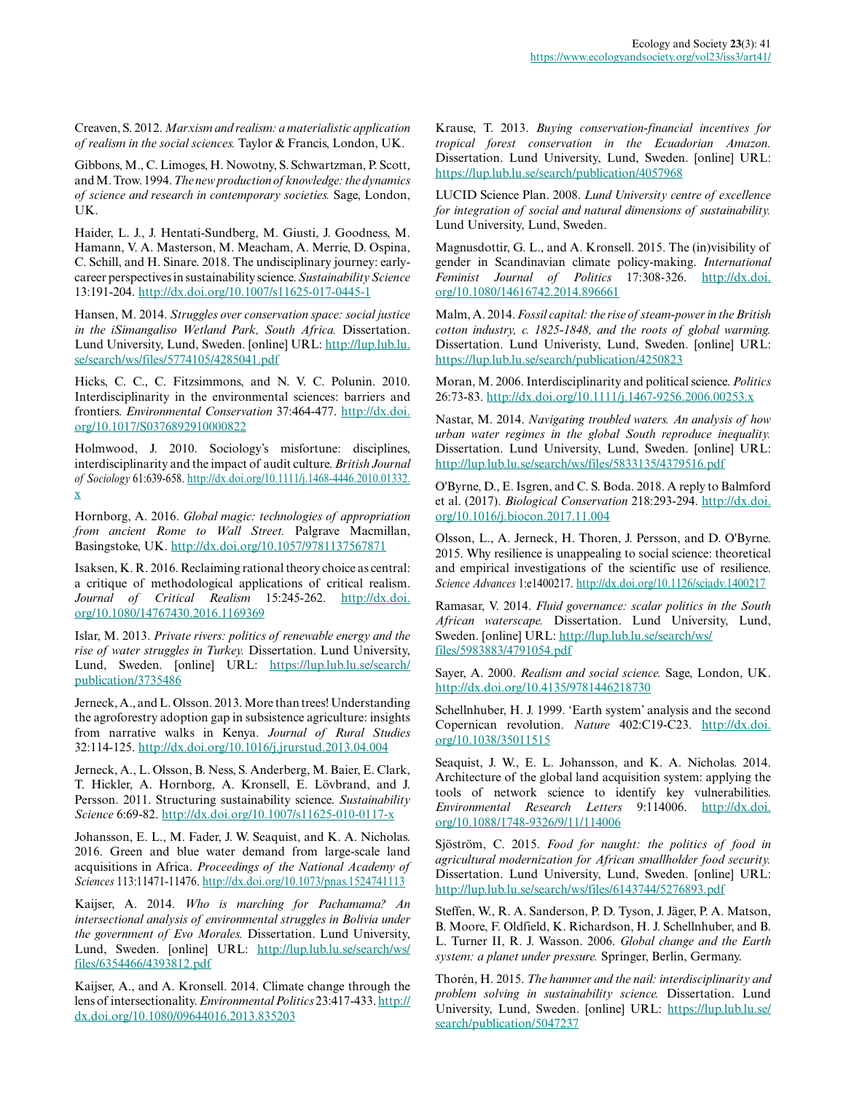Creaven, S. 2012. *Marxism and realism: a materialistic application of realism in the social sciences.* Taylor & Francis, London, UK.

Gibbons, M., C. Limoges, H. Nowotny, S. Schwartzman, P. Scott, and M. Trow. 1994. *The new production of knowledge: the dynamics of science and research in contemporary societies.* Sage, London, UK.

Haider, L. J., J. Hentati-Sundberg, M. Giusti, J. Goodness, M. Hamann, V. A. Masterson, M. Meacham, A. Merrie, D. Ospina, C. Schill, and H. Sinare. 2018. The undisciplinary journey: earlycareer perspectives in sustainability science. *Sustainability Science* 13:191-204. [http://dx.doi.org/10.1007/s11625-017-0445-1](http://dx.doi.org/10.1007%2Fs11625-017-0445-1)

Hansen, M. 2014. *Struggles over conservation space: social justice in the iSimangaliso Wetland Park, South Africa.* Dissertation. Lund University, Lund, Sweden. [online] URL: [http://lup.lub.lu.](http://lup.lub.lu.se/search/ws/files/5774105/4285041.pdf) [se/search/ws/files/5774105/4285041.pdf](http://lup.lub.lu.se/search/ws/files/5774105/4285041.pdf)

Hicks, C. C., C. Fitzsimmons, and N. V. C. Polunin. 2010. Interdisciplinarity in the environmental sciences: barriers and frontiers. *Environmental Conservation* 37:464-477. [http://dx.doi.](http://dx.doi.org/10.1017%2FS0376892910000822) [org/10.1017/S0376892910000822](http://dx.doi.org/10.1017%2FS0376892910000822)

Holmwood, J. 2010. Sociology's misfortune: disciplines, interdisciplinarity and the impact of audit culture. *British Journal of Sociology* 61:639-658. [http://dx.doi.org/10.1111/j.1468-4446.2010.01332.](http://dx.doi.org/10.1111%2Fj.1468-4446.2010.01332.x) [x](http://dx.doi.org/10.1111%2Fj.1468-4446.2010.01332.x)

Hornborg, A. 2016. *Global magic: technologies of appropriation from ancient Rome to Wall Street.* Palgrave Macmillan, Basingstoke, UK. [http://dx.doi.org/10.1057/9781137567871](http://dx.doi.org/10.1057%2F9781137567871)

Isaksen, K. R. 2016. Reclaiming rational theory choice as central: a critique of methodological applications of critical realism. *Journal of Critical Realism* 15:245-262. [http://dx.doi.](http://dx.doi.org/10.1080%2F14767430.2016.1169369) [org/10.1080/14767430.2016.1169369](http://dx.doi.org/10.1080%2F14767430.2016.1169369) 

Islar, M. 2013. *Private rivers: politics of renewable energy and the rise of water struggles in Turkey.* Dissertation. Lund University, Lund, Sweden. [online] URL: [https://lup.lub.lu.se/search/](https://lup.lub.lu.se/search/publication/3735486) [publication/3735486](https://lup.lub.lu.se/search/publication/3735486)

Jerneck, A., and L. Olsson. 2013. More than trees! Understanding the agroforestry adoption gap in subsistence agriculture: insights from narrative walks in Kenya. *Journal of Rural Studies* 32:114-125. [http://dx.doi.org/10.1016/j.jrurstud.2013.04.004](http://dx.doi.org/10.1016%2Fj.jrurstud.2013.04.004) 

Jerneck, A., L. Olsson, B. Ness, S. Anderberg, M. Baier, E. Clark, T. Hickler, A. Hornborg, A. Kronsell, E. Lövbrand, and J. Persson. 2011. Structuring sustainability science. *Sustainability Science* 6:69-82. [http://dx.doi.org/10.1007/s11625-010-0117-x](http://dx.doi.org/10.1007%2Fs11625-010-0117-x)

Johansson, E. L., M. Fader, J. W. Seaquist, and K. A. Nicholas. 2016. Green and blue water demand from large-scale land acquisitions in Africa. *Proceedings of the National Academy of Sciences* 113:11471-11476. [http://dx.doi.org/10.1073/pnas.1524741113](http://dx.doi.org/10.1073%2Fpnas.1524741113) 

Kaijser, A. 2014. *Who is marching for Pachamama? An intersectional analysis of environmental struggles in Bolivia under the government of Evo Morales.* Dissertation. Lund University, Lund, Sweden. [online] URL: [http://lup.lub.lu.se/search/ws/](http://lup.lub.lu.se/search/ws/files/6354466/4393812.pdf) [files/6354466/4393812.pdf](http://lup.lub.lu.se/search/ws/files/6354466/4393812.pdf)

Kaijser, A., and A. Kronsell. 2014. Climate change through the lens of intersectionality. *Environmental Politics* 23:417-433. [http://](http://dx.doi.org/10.1080%2F09644016.2013.835203) [dx.doi.org/10.1080/09644016.2013.835203](http://dx.doi.org/10.1080%2F09644016.2013.835203) 

Krause, T. 2013. *Buying conservation-financial incentives for tropical forest conservation in the Ecuadorian Amazon.* Dissertation. Lund University, Lund, Sweden. [online] URL: <https://lup.lub.lu.se/search/publication/4057968>

LUCID Science Plan. 2008. *Lund University centre of excellence for integration of social and natural dimensions of sustainability.* Lund University, Lund, Sweden.

Magnusdottir, G. L., and A. Kronsell. 2015. The (in)visibility of gender in Scandinavian climate policy-making. *International Feminist Journal of Politics* 17:308-326. [http://dx.doi.](http://dx.doi.org/10.1080%2F14616742.2014.896661) [org/10.1080/14616742.2014.896661](http://dx.doi.org/10.1080%2F14616742.2014.896661)

Malm, A. 2014. *Fossil capital: the rise of steam-power in the British cotton industry, c. 1825-1848, and the roots of global warming.* Dissertation. Lund Univeristy, Lund, Sweden. [online] URL: <https://lup.lub.lu.se/search/publication/4250823>

Moran, M. 2006. Interdisciplinarity and political science. *Politics* 26:73-83. [http://dx.doi.org/10.1111/j.1467-9256.2006.00253.x](http://dx.doi.org/10.1111%2Fj.1467-9256.2006.00253.x) 

Nastar, M. 2014. *Navigating troubled waters. An analysis of how urban water regimes in the global South reproduce inequality.* Dissertation. Lund University, Lund, Sweden. [online] URL: <http://lup.lub.lu.se/search/ws/files/5833135/4379516.pdf>

O'Byrne, D., E. Isgren, and C. S. Boda. 2018. A reply to Balmford et al. (2017). *Biological Conservation* 218:293-294. [http://dx.doi.](http://dx.doi.org/10.1016%2Fj.biocon.2017.11.004) [org/10.1016/j.biocon.2017.11.004](http://dx.doi.org/10.1016%2Fj.biocon.2017.11.004)

Olsson, L., A. Jerneck, H. Thoren, J. Persson, and D. O'Byrne. 2015. Why resilience is unappealing to social science: theoretical and empirical investigations of the scientific use of resilience. *Science Advances* 1:e1400217. [http://dx.doi.org/10.1126/sciadv.1400217](http://dx.doi.org/10.1126%2Fsciadv.1400217)

Ramasar, V. 2014. *Fluid governance: scalar politics in the South African waterscape.* Dissertation. Lund University, Lund, Sweden. [online] URL: [http://lup.lub.lu.se/search/ws/](http://lup.lub.lu.se/search/ws/files/5983883/4791054.pdf) [files/5983883/4791054.pdf](http://lup.lub.lu.se/search/ws/files/5983883/4791054.pdf)

Sayer, A. 2000. *Realism and social science.* Sage, London, UK. [http://dx.doi.org/10.4135/9781446218730](http://dx.doi.org/10.4135%2F9781446218730) 

Schellnhuber, H. J. 1999. 'Earth system' analysis and the second Copernican revolution. *Nature* 402:C19-C23. [http://dx.doi.](http://dx.doi.org/10.1038%2F35011515) [org/10.1038/35011515](http://dx.doi.org/10.1038%2F35011515)

Seaquist, J. W., E. L. Johansson, and K. A. Nicholas. 2014. Architecture of the global land acquisition system: applying the tools of network science to identify key vulnerabilities. *Environmental Research Letters* 9:114006. [http://dx.doi.](http://dx.doi.org/10.1088%2F1748-9326%2F9%2F11%2F114006) [org/10.1088/1748-9326/9/11/114006](http://dx.doi.org/10.1088%2F1748-9326%2F9%2F11%2F114006)

Sjöström, C. 2015. *Food for naught: the politics of food in agricultural modernization for African smallholder food security.* Dissertation. Lund University, Lund, Sweden. [online] URL: <http://lup.lub.lu.se/search/ws/files/6143744/5276893.pdf>

Steffen, W., R. A. Sanderson, P. D. Tyson, J. Jäger, P. A. Matson, B. Moore, F. Oldfield, K. Richardson, H. J. Schellnhuber, and B. L. Turner II, R. J. Wasson. 2006. *Global change and the Earth system: a planet under pressure.* Springer, Berlin, Germany.

Thorén, H. 2015. *The hammer and the nail: interdisciplinarity and problem solving in sustainability science.* Dissertation. Lund University, Lund, Sweden. [online] URL: [https://lup.lub.lu.se/](https://lup.lub.lu.se/search/publication/5047237) [search/publication/5047237](https://lup.lub.lu.se/search/publication/5047237)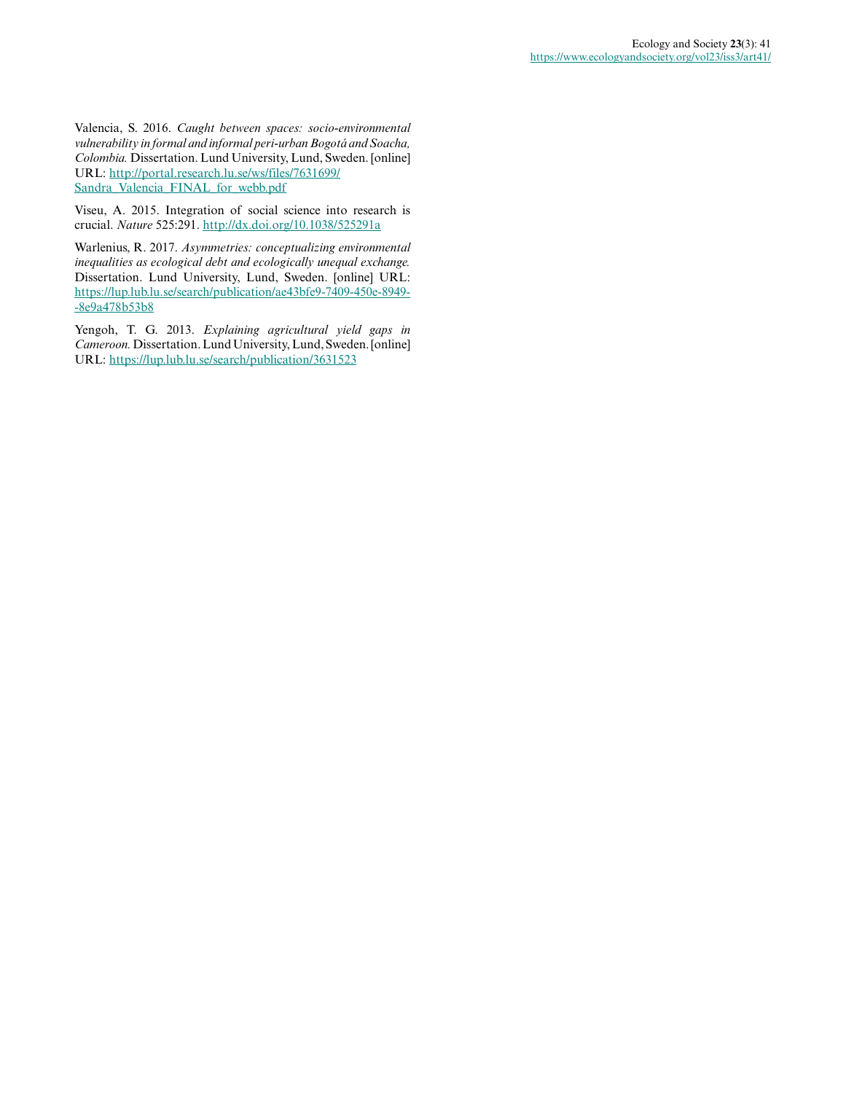Valencia, S. 2016. *Caught between spaces: socio-environmental vulnerability in formal and informal peri-urban Bogotá and Soacha, Colombia.* Dissertation. Lund University, Lund, Sweden. [online] URL: [http://portal.research.lu.se/ws/files/7631699/](http://portal.research.lu.se/ws/files/7631699/Sandra_Valencia_FINAL_for_webb.pdf) [Sandra\\_Valencia\\_FINAL\\_for\\_webb.pdf](http://portal.research.lu.se/ws/files/7631699/Sandra_Valencia_FINAL_for_webb.pdf)

Viseu, A. 2015. Integration of social science into research is crucial. *Nature* 525:291. [http://dx.doi.org/10.1038/525291a](http://dx.doi.org/10.1038%2F525291a) 

Warlenius, R. 2017. *Asymmetries: conceptualizing environmental inequalities as ecological debt and ecologically unequal exchange.* Dissertation. Lund University, Lund, Sweden. [online] URL: [https://lup.lub.lu.se/search/publication/ae43bfe9-7409-450e-8949](https://lup.lub.lu.se/search/publication/ae43bfe9-7409-450e-8949-8e9a478b53b8) [-8e9a478b53b8](https://lup.lub.lu.se/search/publication/ae43bfe9-7409-450e-8949-8e9a478b53b8)

Yengoh, T. G. 2013. *Explaining agricultural yield gaps in Cameroon.* Dissertation. Lund University, Lund, Sweden. [online] URL:<https://lup.lub.lu.se/search/publication/3631523>